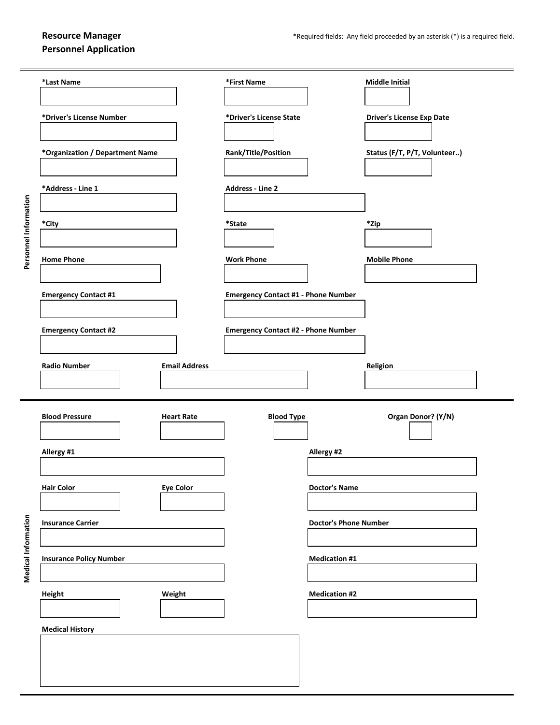**Personnel Application**

|                       | *Last Name                                  | *First Name                                | <b>Middle Initial</b>            |
|-----------------------|---------------------------------------------|--------------------------------------------|----------------------------------|
| Personnel Information | *Driver's License Number                    | *Driver's License State                    | <b>Driver's License Exp Date</b> |
|                       | *Organization / Department Name             | Rank/Title/Position                        | Status (F/T, P/T, Volunteer)     |
|                       | *Address - Line 1                           | <b>Address - Line 2</b>                    |                                  |
|                       | *City                                       | *State                                     | *Zip                             |
|                       | <b>Home Phone</b>                           | <b>Work Phone</b>                          | <b>Mobile Phone</b>              |
|                       | <b>Emergency Contact #1</b>                 | <b>Emergency Contact #1 - Phone Number</b> |                                  |
|                       | <b>Emergency Contact #2</b>                 | <b>Emergency Contact #2 - Phone Number</b> |                                  |
|                       | <b>Radio Number</b><br><b>Email Address</b> |                                            | Religion                         |
|                       | <b>Blood Pressure</b><br><b>Heart Rate</b>  | <b>Blood Type</b>                          | Organ Donor? (Y/N)               |
| Medical Information   | Allergy #1                                  | Allergy #2                                 |                                  |
|                       | <b>Eye Color</b><br><b>Hair Color</b>       | <b>Doctor's Name</b>                       |                                  |
|                       | <b>Insurance Carrier</b>                    |                                            | <b>Doctor's Phone Number</b>     |
|                       | <b>Insurance Policy Number</b>              | <b>Medication #1</b>                       |                                  |
|                       | Height<br>Weight                            | <b>Medication #2</b>                       |                                  |
|                       | <b>Medical History</b>                      |                                            |                                  |
|                       |                                             |                                            |                                  |
|                       |                                             |                                            |                                  |